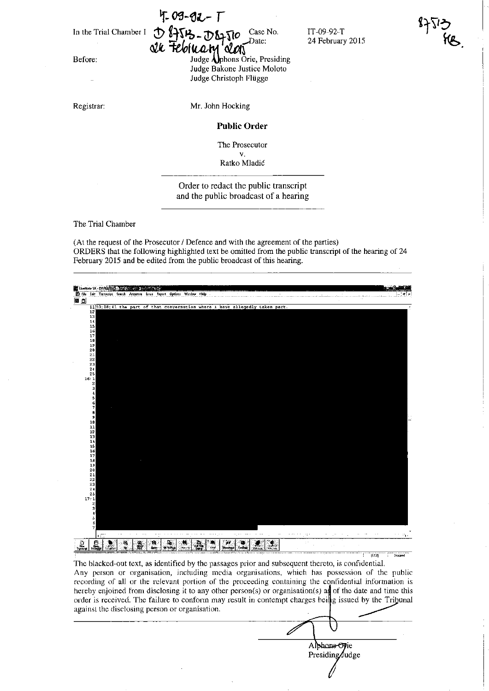Before:

Registrar:

 $4.09 - 92 - T$ In the Trial Chamber I  $\bigoplus_{\lambda} \bigoplus_{\lambda} \bigoplus_{\lambda} \bigoplus_{\lambda} \bigoplus_{\lambda} \bigcap_{\lambda} \bigcirc_{\lambda}$  Case No.

*Qu Feloluary aloni* Judge Aphons Orie, Presiding Judge Bakone Justice Moloto Judge Christoph Fltigge

IT-09-92-T 24 February 2015

Mr. John Hocking

**Public Order** 

**The Prosecutor** 

v. Ratko Mladic

Order to redact the public transcript and the public broadcast of a hearing

The Trial Chamber

(At the request of the Prosecutor / Defence and with the agreement of the parties) ORDERS that the following highlighted text be omitted from the public transcript of the hearing of 24 February 2015 and be edited from the public broadcast of this hearing.



**The blacked-out text, as identified by the passages prior and subsequent thereto, is confidential. Any person or organisalion, including media organisations, which has possession of the public**  recording of all or the relevant portion of the proceeding containing the confidential information is hereby enjoined from disclosing it to any other person(s) or organisation(s) as of the date and time this **order is received. The failure to conform may result in contempt charges hei g issued by the Trihunal**  recording of all or the relevant portion of the proceeding containing the contidential information is<br>hereby enjoined from disclosing it to any other person(s) or organisation(s) as of the date and time this<br>order is recei

Alphons Orie Presiding/Judge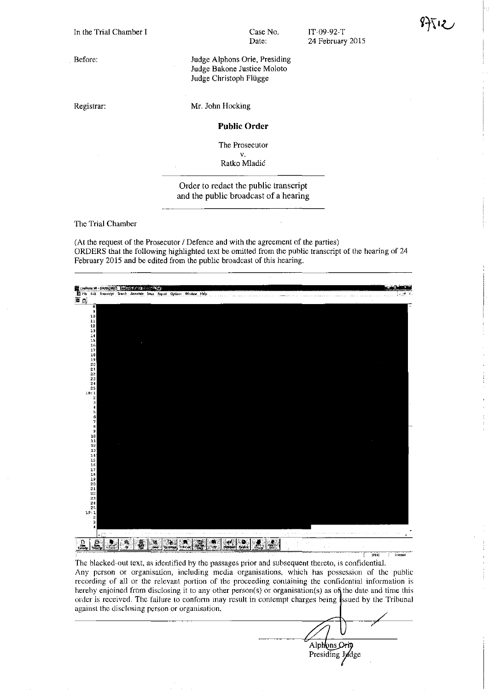**Before:** 

Registrar:

Case No. Date:

IT-09-92-T 24 February 2015

Judge Alphons Orie, Presiding Judge Bakone Justice Moloto Judge Christoph Flügge

Mr. John Hocking

## **Public Order**

**The Prosecutor**  v.

Ratko Mladic

Order to redact the public transcript and the public broadcast of a hearing

The Trial Chamber

(At the request of the Prosecutor / Defence and with the agreement of the parties) ORDERS that the following highlighted text be omitted from the public transcript of the hearing of 24 February 2015 and be edited from the public broadcast of this hearing.



The blacked-out text, as identified by the passages prior and subsequent thereto, is confidential. **Any person or organisation, including media organisations, which has possession of the public**  recording of all or the relevant portion of the proceeding containing the confidential information is hereby enjoined from disclosing it to any other person(s) or organisation(s) as of the date and time this order is received. The failure to conform may result in contempt charges being issued by the Tribunal **againsl the disclosing person or organisation.** 

Alphons Orio Presiding Jydge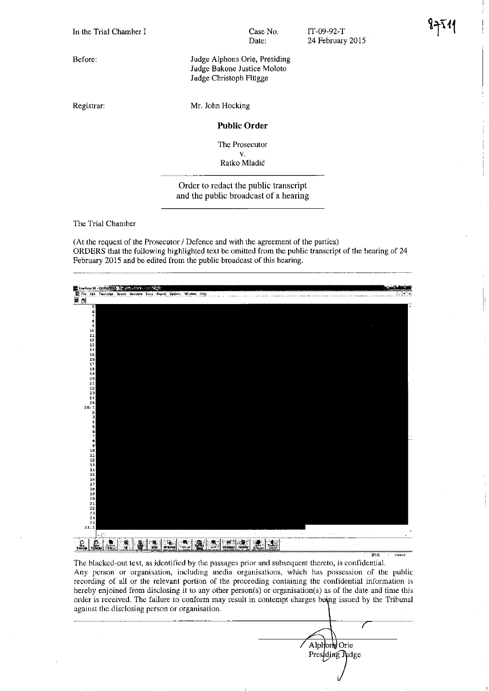In the Trial Chamber I

Before:

Registrar:

Case No. Date:

IT-09-92-T 24 February 2015

Judge Alphons Orie, Presiding Judge Bakone Justice Moloto Judge Christoph Fltigge

Mr. John Hocking

## **Public Order**

The Prosecutor

v. Ratko Mladic

Order to redact the public transcript and the public broadcast of a hearing

The Trial Chamber

(At the request of the Prosecutor / Defence and with the agreement of the parties) ORDERS that the following highlighted text be omitted from the public transcript of the hearing of 24 February 2015 and be edited from the public broadcast of this hearing.



The blacked-out text, as identified by the passages prior and subsequent thereto, is confidential. **Any person or organisation. including media organisations, which has possession of the public recording of all or the relevant portion of the proceeding containing the confidential information is**  hereby enjoined from disclosing it to any other person(s) or organisation(s) as of the date and time this order is received. The failure to conform may result in contempt charges being issued by the Tribunal **against the disclosing person or organisation.** 

Alphone Orie Presiding Judge